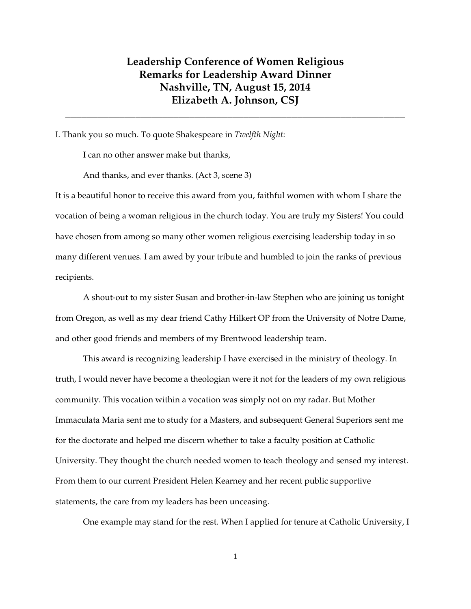## **Leadership Conference of Women Religious Remarks for Leadership Award Dinner Nashville, TN, August 15, 2014 Elizabeth A. Johnson, CSJ**

**\_\_\_\_\_\_\_\_\_\_\_\_\_\_\_\_\_\_\_\_\_\_\_\_\_\_\_\_\_\_\_\_\_\_\_\_\_\_\_\_\_\_\_\_\_\_\_\_\_\_\_\_\_\_\_\_\_\_\_\_\_\_\_** 

I. Thank you so much. To quote Shakespeare in *Twelfth Night*:

I can no other answer make but thanks,

And thanks, and ever thanks. (Act 3, scene 3)

It is a beautiful honor to receive this award from you, faithful women with whom I share the vocation of being a woman religious in the church today. You are truly my Sisters! You could have chosen from among so many other women religious exercising leadership today in so many different venues. I am awed by your tribute and humbled to join the ranks of previous recipients.

 A shout-out to my sister Susan and brother-in-law Stephen who are joining us tonight from Oregon, as well as my dear friend Cathy Hilkert OP from the University of Notre Dame, and other good friends and members of my Brentwood leadership team.

 This award is recognizing leadership I have exercised in the ministry of theology. In truth, I would never have become a theologian were it not for the leaders of my own religious community. This vocation within a vocation was simply not on my radar. But Mother Immaculata Maria sent me to study for a Masters, and subsequent General Superiors sent me for the doctorate and helped me discern whether to take a faculty position at Catholic University. They thought the church needed women to teach theology and sensed my interest. From them to our current President Helen Kearney and her recent public supportive statements, the care from my leaders has been unceasing.

One example may stand for the rest. When I applied for tenure at Catholic University, I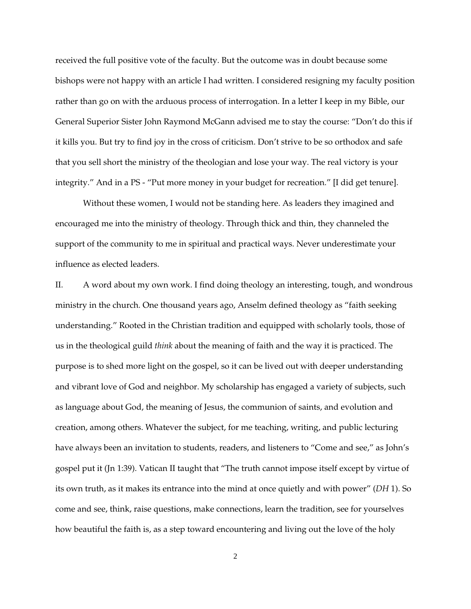received the full positive vote of the faculty. But the outcome was in doubt because some bishops were not happy with an article I had written. I considered resigning my faculty position rather than go on with the arduous process of interrogation. In a letter I keep in my Bible, our General Superior Sister John Raymond McGann advised me to stay the course: "Don't do this if it kills you. But try to find joy in the cross of criticism. Don't strive to be so orthodox and safe that you sell short the ministry of the theologian and lose your way. The real victory is your integrity." And in a PS - "Put more money in your budget for recreation." [I did get tenure].

 Without these women, I would not be standing here. As leaders they imagined and encouraged me into the ministry of theology. Through thick and thin, they channeled the support of the community to me in spiritual and practical ways. Never underestimate your influence as elected leaders.

II. A word about my own work. I find doing theology an interesting, tough, and wondrous ministry in the church. One thousand years ago, Anselm defined theology as "faith seeking understanding." Rooted in the Christian tradition and equipped with scholarly tools, those of us in the theological guild *think* about the meaning of faith and the way it is practiced. The purpose is to shed more light on the gospel, so it can be lived out with deeper understanding and vibrant love of God and neighbor. My scholarship has engaged a variety of subjects, such as language about God, the meaning of Jesus, the communion of saints, and evolution and creation, among others. Whatever the subject, for me teaching, writing, and public lecturing have always been an invitation to students, readers, and listeners to "Come and see," as John's gospel put it (Jn 1:39). Vatican II taught that "The truth cannot impose itself except by virtue of its own truth, as it makes its entrance into the mind at once quietly and with power" (*DH* 1). So come and see, think, raise questions, make connections, learn the tradition, see for yourselves how beautiful the faith is, as a step toward encountering and living out the love of the holy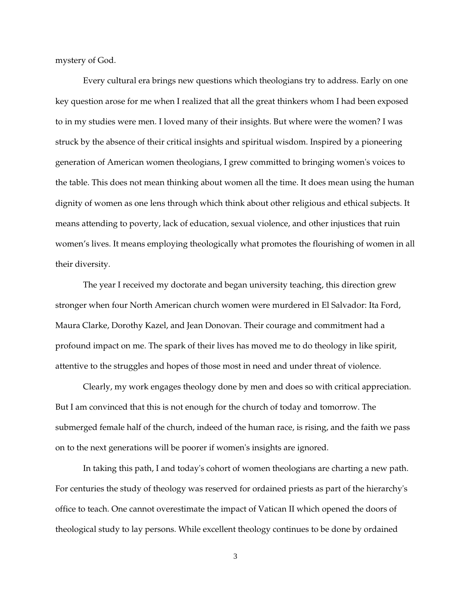mystery of God.

 Every cultural era brings new questions which theologians try to address. Early on one key question arose for me when I realized that all the great thinkers whom I had been exposed to in my studies were men. I loved many of their insights. But where were the women? I was struck by the absence of their critical insights and spiritual wisdom. Inspired by a pioneering generation of American women theologians, I grew committed to bringing women's voices to the table. This does not mean thinking about women all the time. It does mean using the human dignity of women as one lens through which think about other religious and ethical subjects. It means attending to poverty, lack of education, sexual violence, and other injustices that ruin women's lives. It means employing theologically what promotes the flourishing of women in all their diversity.

 The year I received my doctorate and began university teaching, this direction grew stronger when four North American church women were murdered in El Salvador: Ita Ford, Maura Clarke, Dorothy Kazel, and Jean Donovan. Their courage and commitment had a profound impact on me. The spark of their lives has moved me to do theology in like spirit, attentive to the struggles and hopes of those most in need and under threat of violence.

 Clearly, my work engages theology done by men and does so with critical appreciation. But I am convinced that this is not enough for the church of today and tomorrow. The submerged female half of the church, indeed of the human race, is rising, and the faith we pass on to the next generations will be poorer if women's insights are ignored.

 In taking this path, I and today's cohort of women theologians are charting a new path. For centuries the study of theology was reserved for ordained priests as part of the hierarchy's office to teach. One cannot overestimate the impact of Vatican II which opened the doors of theological study to lay persons. While excellent theology continues to be done by ordained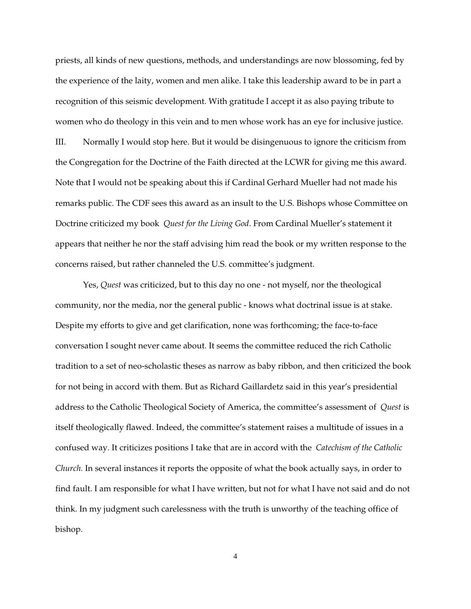priests, all kinds of new questions, methods, and understandings are now blossoming, fed by the experience of the laity, women and men alike. I take this leadership award to be in part a recognition of this seismic development. With gratitude I accept it as also paying tribute to women who do theology in this vein and to men whose work has an eye for inclusive justice. III. Normally I would stop here. But it would be disingenuous to ignore the criticism from the Congregation for the Doctrine of the Faith directed at the LCWR for giving me this award. Note that I would not be speaking about this if Cardinal Gerhard Mueller had not made his remarks public. The CDF sees this award as an insult to the U.S. Bishops whose Committee on Doctrine criticized my book *Quest for the Living God*. From Cardinal Mueller's statement it appears that neither he nor the staff advising him read the book or my written response to the concerns raised, but rather channeled the U.S. committee's judgment.

 Yes, *Quest* was criticized, but to this day no one - not myself, nor the theological community, nor the media, nor the general public - knows what doctrinal issue is at stake. Despite my efforts to give and get clarification, none was forthcoming; the face-to-face conversation I sought never came about. It seems the committee reduced the rich Catholic tradition to a set of neo-scholastic theses as narrow as baby ribbon, and then criticized the book for not being in accord with them. But as Richard Gaillardetz said in this year's presidential address to the Catholic Theological Society of America, the committee's assessment of *Quest* is itself theologically flawed. Indeed, the committee's statement raises a multitude of issues in a confused way. It criticizes positions I take that are in accord with the *Catechism of the Catholic Church.* In several instances it reports the opposite of what the book actually says, in order to find fault. I am responsible for what I have written, but not for what I have not said and do not think. In my judgment such carelessness with the truth is unworthy of the teaching office of bishop.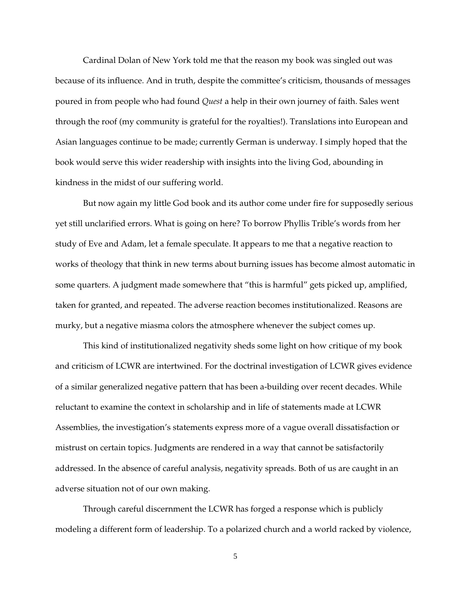Cardinal Dolan of New York told me that the reason my book was singled out was because of its influence. And in truth, despite the committee's criticism, thousands of messages poured in from people who had found *Quest* a help in their own journey of faith. Sales went through the roof (my community is grateful for the royalties!). Translations into European and Asian languages continue to be made; currently German is underway. I simply hoped that the book would serve this wider readership with insights into the living God, abounding in kindness in the midst of our suffering world.

 But now again my little God book and its author come under fire for supposedly serious yet still unclarified errors. What is going on here? To borrow Phyllis Trible's words from her study of Eve and Adam, let a female speculate. It appears to me that a negative reaction to works of theology that think in new terms about burning issues has become almost automatic in some quarters. A judgment made somewhere that "this is harmful" gets picked up, amplified, taken for granted, and repeated. The adverse reaction becomes institutionalized. Reasons are murky, but a negative miasma colors the atmosphere whenever the subject comes up.

 This kind of institutionalized negativity sheds some light on how critique of my book and criticism of LCWR are intertwined. For the doctrinal investigation of LCWR gives evidence of a similar generalized negative pattern that has been a-building over recent decades. While reluctant to examine the context in scholarship and in life of statements made at LCWR Assemblies, the investigation's statements express more of a vague overall dissatisfaction or mistrust on certain topics. Judgments are rendered in a way that cannot be satisfactorily addressed. In the absence of careful analysis, negativity spreads. Both of us are caught in an adverse situation not of our own making.

 Through careful discernment the LCWR has forged a response which is publicly modeling a different form of leadership. To a polarized church and a world racked by violence,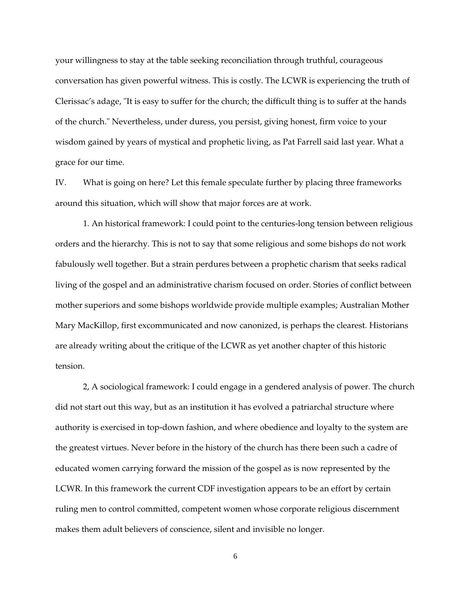your willingness to stay at the table seeking reconciliation through truthful, courageous conversation has given powerful witness. This is costly. The LCWR is experiencing the truth of Clerissac's adage, "It is easy to suffer for the church; the difficult thing is to suffer at the hands of the church." Nevertheless, under duress, you persist, giving honest, firm voice to your wisdom gained by years of mystical and prophetic living, as Pat Farrell said last year. What a grace for our time.

IV. What is going on here? Let this female speculate further by placing three frameworks around this situation, which will show that major forces are at work.

 1. An historical framework: I could point to the centuries-long tension between religious orders and the hierarchy. This is not to say that some religious and some bishops do not work fabulously well together. But a strain perdures between a prophetic charism that seeks radical living of the gospel and an administrative charism focused on order. Stories of conflict between mother superiors and some bishops worldwide provide multiple examples; Australian Mother Mary MacKillop, first excommunicated and now canonized, is perhaps the clearest. Historians are already writing about the critique of the LCWR as yet another chapter of this historic tension.

 2, A sociological framework: I could engage in a gendered analysis of power. The church did not start out this way, but as an institution it has evolved a patriarchal structure where authority is exercised in top-down fashion, and where obedience and loyalty to the system are the greatest virtues. Never before in the history of the church has there been such a cadre of educated women carrying forward the mission of the gospel as is now represented by the LCWR. In this framework the current CDF investigation appears to be an effort by certain ruling men to control committed, competent women whose corporate religious discernment makes them adult believers of conscience, silent and invisible no longer.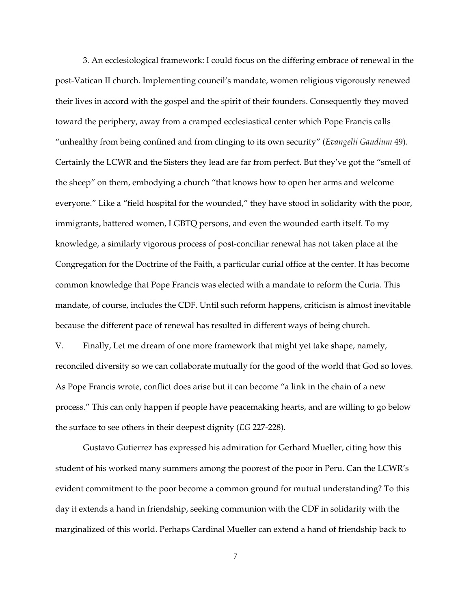3. An ecclesiological framework: I could focus on the differing embrace of renewal in the post-Vatican II church. Implementing council's mandate, women religious vigorously renewed their lives in accord with the gospel and the spirit of their founders. Consequently they moved toward the periphery, away from a cramped ecclesiastical center which Pope Francis calls "unhealthy from being confined and from clinging to its own security" (*Evangelii Gaudium* 49). Certainly the LCWR and the Sisters they lead are far from perfect. But they've got the "smell of the sheep" on them, embodying a church "that knows how to open her arms and welcome everyone." Like a "field hospital for the wounded," they have stood in solidarity with the poor, immigrants, battered women, LGBTQ persons, and even the wounded earth itself. To my knowledge, a similarly vigorous process of post-conciliar renewal has not taken place at the Congregation for the Doctrine of the Faith, a particular curial office at the center. It has become common knowledge that Pope Francis was elected with a mandate to reform the Curia. This mandate, of course, includes the CDF. Until such reform happens, criticism is almost inevitable because the different pace of renewal has resulted in different ways of being church.

V. Finally, Let me dream of one more framework that might yet take shape, namely, reconciled diversity so we can collaborate mutually for the good of the world that God so loves. As Pope Francis wrote, conflict does arise but it can become "a link in the chain of a new process." This can only happen if people have peacemaking hearts, and are willing to go below the surface to see others in their deepest dignity (*EG* 227-228).

 Gustavo Gutierrez has expressed his admiration for Gerhard Mueller, citing how this student of his worked many summers among the poorest of the poor in Peru. Can the LCWR's evident commitment to the poor become a common ground for mutual understanding? To this day it extends a hand in friendship, seeking communion with the CDF in solidarity with the marginalized of this world. Perhaps Cardinal Mueller can extend a hand of friendship back to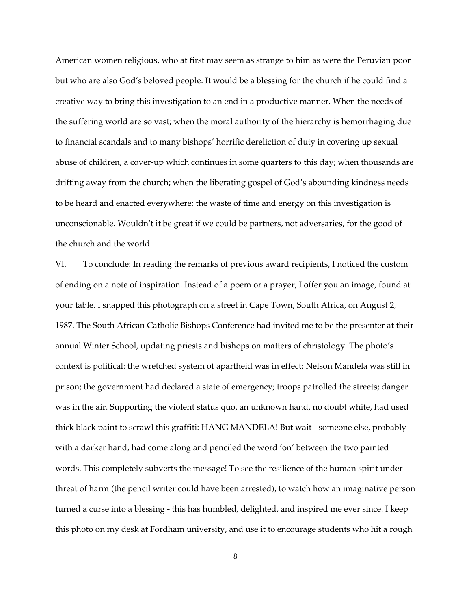American women religious, who at first may seem as strange to him as were the Peruvian poor but who are also God's beloved people. It would be a blessing for the church if he could find a creative way to bring this investigation to an end in a productive manner. When the needs of the suffering world are so vast; when the moral authority of the hierarchy is hemorrhaging due to financial scandals and to many bishops' horrific dereliction of duty in covering up sexual abuse of children, a cover-up which continues in some quarters to this day; when thousands are drifting away from the church; when the liberating gospel of God's abounding kindness needs to be heard and enacted everywhere: the waste of time and energy on this investigation is unconscionable. Wouldn't it be great if we could be partners, not adversaries, for the good of the church and the world.

VI. To conclude: In reading the remarks of previous award recipients, I noticed the custom of ending on a note of inspiration. Instead of a poem or a prayer, I offer you an image, found at your table. I snapped this photograph on a street in Cape Town, South Africa, on August 2, 1987. The South African Catholic Bishops Conference had invited me to be the presenter at their annual Winter School, updating priests and bishops on matters of christology. The photo's context is political: the wretched system of apartheid was in effect; Nelson Mandela was still in prison; the government had declared a state of emergency; troops patrolled the streets; danger was in the air. Supporting the violent status quo, an unknown hand, no doubt white, had used thick black paint to scrawl this graffiti: HANG MANDELA! But wait - someone else, probably with a darker hand, had come along and penciled the word 'on' between the two painted words. This completely subverts the message! To see the resilience of the human spirit under threat of harm (the pencil writer could have been arrested), to watch how an imaginative person turned a curse into a blessing - this has humbled, delighted, and inspired me ever since. I keep this photo on my desk at Fordham university, and use it to encourage students who hit a rough